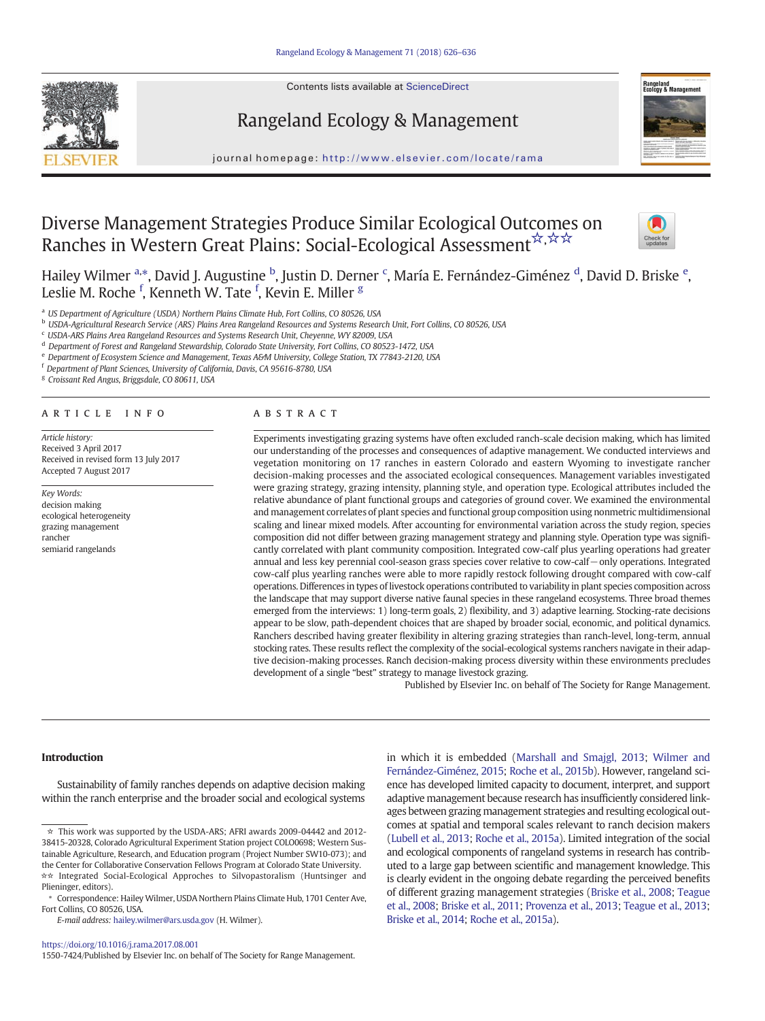Contents lists available at ScienceDirect





Rangeland Ecology & Management

journal homepage: http://www.elsevier.com/locate/rama

# Diverse Management Strategies Produce Similar Ecological Outcomes on Ranches in Western Great Plains: Social-Ecological Assessment☆,☆☆



Hailey Wilmer <sup>a,\*</sup>, David J. Augustine <sup>b</sup>, Justin D. Derner <sup>c</sup>, María E. Fernández-Giménez <sup>d</sup>, David D. Briske <sup>e</sup>, Leslie M. Roche <sup>f</sup>, Kenneth W. Tate <sup>f</sup>, Kevin E. Miller <sup>g</sup>

<sup>a</sup> US Department of Agriculture (USDA) Northern Plains Climate Hub, Fort Collins, CO 80526, USA

<sup>b</sup> USDA-Agricultural Research Service (ARS) Plains Area Rangeland Resources and Systems Research Unit, Fort Collins, CO 80526, USA

 $c$  USDA-ARS Plains Area Rangeland Resources and Systems Research Unit, Cheyenne, WY 82009, USA

<sup>d</sup> Department of Forest and Rangeland Stewardship, Colorado State University, Fort Collins, CO 80523-1472, USA

<sup>e</sup> Department of Ecosystem Science and Management, Texas A&M University, College Station, TX 77843-2120, USA

<sup>f</sup> Department of Plant Sciences, University of California, Davis, CA 95616-8780, USA

<sup>g</sup> Croissant Red Angus, Briggsdale, CO 80611, USA

# article info abstract

Article history: Received 3 April 2017 Received in revised form 13 July 2017 Accepted 7 August 2017

Key Words: decision making ecological heterogeneity grazing management rancher semiarid rangelands

Experiments investigating grazing systems have often excluded ranch-scale decision making, which has limited our understanding of the processes and consequences of adaptive management. We conducted interviews and vegetation monitoring on 17 ranches in eastern Colorado and eastern Wyoming to investigate rancher decision-making processes and the associated ecological consequences. Management variables investigated were grazing strategy, grazing intensity, planning style, and operation type. Ecological attributes included the relative abundance of plant functional groups and categories of ground cover. We examined the environmental and management correlates of plant species and functional group composition using nonmetric multidimensional scaling and linear mixed models. After accounting for environmental variation across the study region, species composition did not differ between grazing management strategy and planning style. Operation type was significantly correlated with plant community composition. Integrated cow-calf plus yearling operations had greater annual and less key perennial cool-season grass species cover relative to cow-calf−only operations. Integrated cow-calf plus yearling ranches were able to more rapidly restock following drought compared with cow-calf operations. Differences in types of livestock operations contributed to variability in plant species composition across the landscape that may support diverse native faunal species in these rangeland ecosystems. Three broad themes emerged from the interviews: 1) long-term goals, 2) flexibility, and 3) adaptive learning. Stocking-rate decisions appear to be slow, path-dependent choices that are shaped by broader social, economic, and political dynamics. Ranchers described having greater flexibility in altering grazing strategies than ranch-level, long-term, annual stocking rates. These results reflect the complexity of the social-ecological systems ranchers navigate in their adaptive decision-making processes. Ranch decision-making process diversity within these environments precludes development of a single "best" strategy to manage livestock grazing.

Published by Elsevier Inc. on behalf of The Society for Range Management.

# Introduction

Sustainability of family ranches depends on adaptive decision making within the ranch enterprise and the broader social and ecological systems

E-mail address: <hailey.wilmer@ars.usda.gov> (H. Wilmer).

[https://doi.org/10.1016/j.rama.2017.08.001](http://dx.doi.org/10.1016/j.rama.2017.08.001) 1550-7424/Published by Elsevier Inc. on behalf of The Society for Range Management. in which it is embedded ([Marshall and Smajgl, 2013](#page-10-0); [Wilmer and](#page-10-0) [Fernández-Giménez, 2015;](#page-10-0) [Roche et al., 2015b\)](#page-10-0). However, rangeland science has developed limited capacity to document, interpret, and support adaptive management because research has insufficiently considered linkages between grazing management strategies and resulting ecological outcomes at spatial and temporal scales relevant to ranch decision makers ([Lubell et al., 2013](#page-10-0); [Roche et al., 2015a\)](#page-10-0). Limited integration of the social and ecological components of rangeland systems in research has contributed to a large gap between scientific and management knowledge. This is clearly evident in the ongoing debate regarding the perceived benefits of different grazing management strategies ([Briske et al., 2008](#page-9-0); [Teague](#page-10-0) [et al., 2008;](#page-10-0) [Briske et al., 2011;](#page-9-0) [Provenza et al., 2013;](#page-10-0) [Teague et al., 2013;](#page-10-0) [Briske et al., 2014](#page-9-0); [Roche et al., 2015a\)](#page-10-0).

<sup>☆</sup> This work was supported by the USDA-ARS; AFRI awards 2009-04442 and 2012- 38415-20328, Colorado Agricultural Experiment Station project COLO0698; Western Sustainable Agriculture, Research, and Education program (Project Number SW10-073); and the Center for Collaborative Conservation Fellows Program at Colorado State University. ☆☆ Integrated Social-Ecological Approches to Silvopastoralism (Huntsinger and Plieninger, editors).

<sup>⁎</sup> Correspondence: Hailey Wilmer, USDA Northern Plains Climate Hub, 1701 Center Ave, Fort Collins, CO 80526, USA.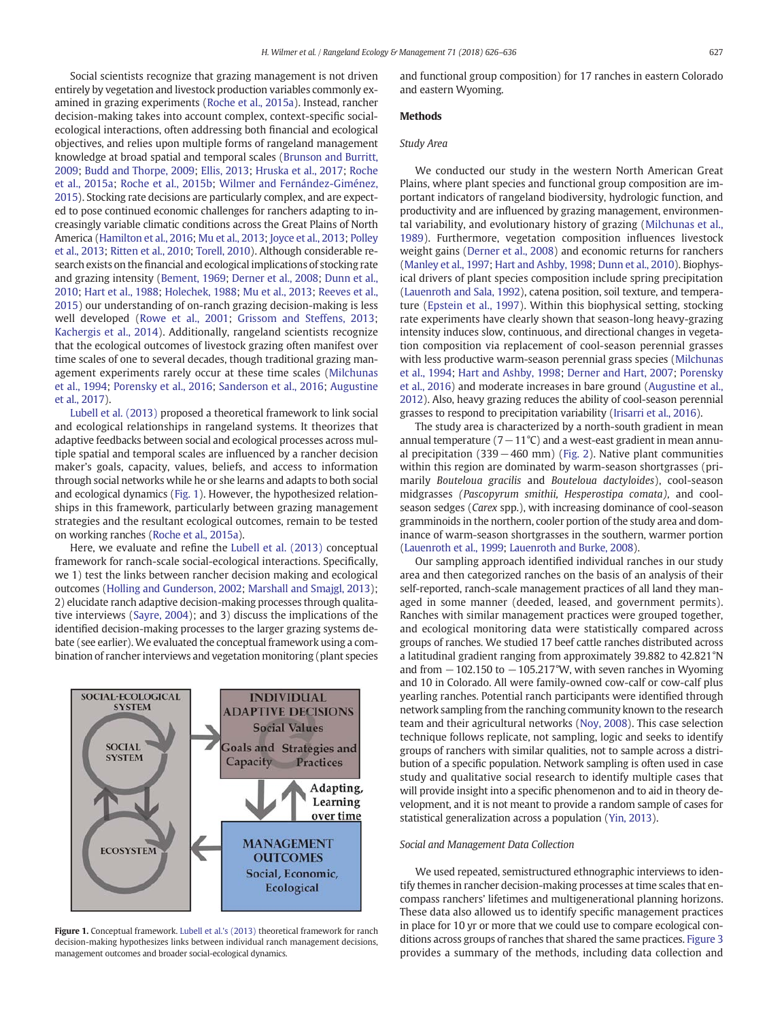Social scientists recognize that grazing management is not driven entirely by vegetation and livestock production variables commonly examined in grazing experiments ([Roche et al., 2015a](#page-10-0)). Instead, rancher decision-making takes into account complex, context-specific socialecological interactions, often addressing both financial and ecological objectives, and relies upon multiple forms of rangeland management knowledge at broad spatial and temporal scales [\(Brunson and Burritt,](#page-9-0) [2009;](#page-9-0) [Budd and Thorpe, 2009](#page-9-0); [Ellis, 2013](#page-9-0); [Hruska et al., 2017](#page-9-0); [Roche](#page-10-0) [et al., 2015a](#page-10-0); [Roche et al., 2015b;](#page-10-0) [Wilmer and Fernández-Giménez,](#page-10-0) [2015](#page-10-0)). Stocking rate decisions are particularly complex, and are expected to pose continued economic challenges for ranchers adapting to increasingly variable climatic conditions across the Great Plains of North America [\(Hamilton et al., 2016;](#page-9-0) [Mu et al., 2013](#page-10-0); [Joyce et al., 2013;](#page-9-0) [Polley](#page-10-0) [et al., 2013](#page-10-0); [Ritten et al., 2010;](#page-10-0) [Torell, 2010](#page-10-0)). Although considerable research exists on the financial and ecological implications of stocking rate and grazing intensity [\(Bement, 1969](#page-9-0); [Derner et al., 2008](#page-9-0); [Dunn et al.,](#page-9-0) [2010;](#page-9-0) [Hart et al., 1988](#page-9-0); [Holechek, 1988;](#page-9-0) [Mu et al., 2013](#page-10-0); [Reeves et al.,](#page-10-0) [2015\)](#page-10-0) our understanding of on-ranch grazing decision-making is less well developed ([Rowe et al., 2001;](#page-10-0) [Grissom and Steffens, 2013;](#page-9-0) [Kachergis et al., 2014\)](#page-9-0). Additionally, rangeland scientists recognize that the ecological outcomes of livestock grazing often manifest over time scales of one to several decades, though traditional grazing management experiments rarely occur at these time scales ([Milchunas](#page-10-0) [et al., 1994](#page-10-0); [Porensky et al., 2016;](#page-10-0) [Sanderson et al., 2016](#page-10-0); [Augustine](#page-9-0) [et al., 2017](#page-9-0)).

[Lubell et al. \(2013\)](#page-10-0) proposed a theoretical framework to link social and ecological relationships in rangeland systems. It theorizes that adaptive feedbacks between social and ecological processes across multiple spatial and temporal scales are influenced by a rancher decision maker's goals, capacity, values, beliefs, and access to information through social networks while he or she learns and adapts to both social and ecological dynamics (Fig. 1). However, the hypothesized relationships in this framework, particularly between grazing management strategies and the resultant ecological outcomes, remain to be tested on working ranches ([Roche et al., 2015a\)](#page-10-0).

Here, we evaluate and refine the [Lubell et al. \(2013\)](#page-10-0) conceptual framework for ranch-scale social-ecological interactions. Specifically, we 1) test the links between rancher decision making and ecological outcomes ([Holling and Gunderson, 2002;](#page-9-0) [Marshall and Smajgl, 2013](#page-10-0)); 2) elucidate ranch adaptive decision-making processes through qualitative interviews ([Sayre, 2004](#page-10-0)); and 3) discuss the implications of the identified decision-making processes to the larger grazing systems debate (see earlier). We evaluated the conceptual framework using a combination of rancher interviews and vegetation monitoring (plant species



Figure 1. Conceptual framework. [Lubell et al.](#page-10-0)'s (2013) theoretical framework for ranch decision-making hypothesizes links between individual ranch management decisions, management outcomes and broader social-ecological dynamics.

and functional group composition) for 17 ranches in eastern Colorado and eastern Wyoming.

# Methods

# Study Area

We conducted our study in the western North American Great Plains, where plant species and functional group composition are important indicators of rangeland biodiversity, hydrologic function, and productivity and are influenced by grazing management, environmental variability, and evolutionary history of grazing [\(Milchunas et al.,](#page-10-0) [1989](#page-10-0)). Furthermore, vegetation composition influences livestock weight gains ([Derner et al., 2008](#page-9-0)) and economic returns for ranchers [\(Manley et al., 1997;](#page-10-0) [Hart and Ashby, 1998;](#page-9-0) [Dunn et al., 2010](#page-9-0)). Biophysical drivers of plant species composition include spring precipitation [\(Lauenroth and Sala, 1992\)](#page-9-0), catena position, soil texture, and temperature [\(Epstein et al., 1997](#page-9-0)). Within this biophysical setting, stocking rate experiments have clearly shown that season-long heavy-grazing intensity induces slow, continuous, and directional changes in vegetation composition via replacement of cool-season perennial grasses with less productive warm-season perennial grass species [\(Milchunas](#page-10-0) [et al., 1994;](#page-10-0) [Hart and Ashby, 1998](#page-9-0); [Derner and Hart, 2007;](#page-9-0) [Porensky](#page-10-0) [et al., 2016](#page-10-0)) and moderate increases in bare ground ([Augustine et al.,](#page-9-0) [2012](#page-9-0)). Also, heavy grazing reduces the ability of cool-season perennial grasses to respond to precipitation variability [\(Irisarri et al., 2016\)](#page-9-0).

The study area is characterized by a north-south gradient in mean annual temperature ( $7-11^{\circ}$ C) and a west-east gradient in mean annual precipitation (339−460 mm) [\(Fig. 2](#page-2-0)). Native plant communities within this region are dominated by warm-season shortgrasses (primarily Bouteloua gracilis and Bouteloua dactyloides), cool-season midgrasses (Pascopyrum smithii, Hesperostipa comata), and coolseason sedges (Carex spp.), with increasing dominance of cool-season gramminoids in the northern, cooler portion of the study area and dominance of warm-season shortgrasses in the southern, warmer portion [\(Lauenroth et al., 1999;](#page-9-0) [Lauenroth and Burke, 2008\)](#page-9-0).

Our sampling approach identified individual ranches in our study area and then categorized ranches on the basis of an analysis of their self-reported, ranch-scale management practices of all land they managed in some manner (deeded, leased, and government permits). Ranches with similar management practices were grouped together, and ecological monitoring data were statistically compared across groups of ranches. We studied 17 beef cattle ranches distributed across a latitudinal gradient ranging from approximately 39.882 to 42.821°N and from  $-102.150$  to  $-105.217$ °W, with seven ranches in Wyoming and 10 in Colorado. All were family-owned cow-calf or cow-calf plus yearling ranches. Potential ranch participants were identified through network sampling from the ranching community known to the research team and their agricultural networks [\(Noy, 2008](#page-10-0)). This case selection technique follows replicate, not sampling, logic and seeks to identify groups of ranchers with similar qualities, not to sample across a distribution of a specific population. Network sampling is often used in case study and qualitative social research to identify multiple cases that will provide insight into a specific phenomenon and to aid in theory development, and it is not meant to provide a random sample of cases for statistical generalization across a population ([Yin, 2013](#page-10-0)).

# Social and Management Data Collection

We used repeated, semistructured ethnographic interviews to identify themes in rancher decision-making processes at time scales that encompass ranchers' lifetimes and multigenerational planning horizons. These data also allowed us to identify specific management practices in place for 10 yr or more that we could use to compare ecological conditions across groups of ranches that shared the same practices. [Figure 3](#page-2-0) provides a summary of the methods, including data collection and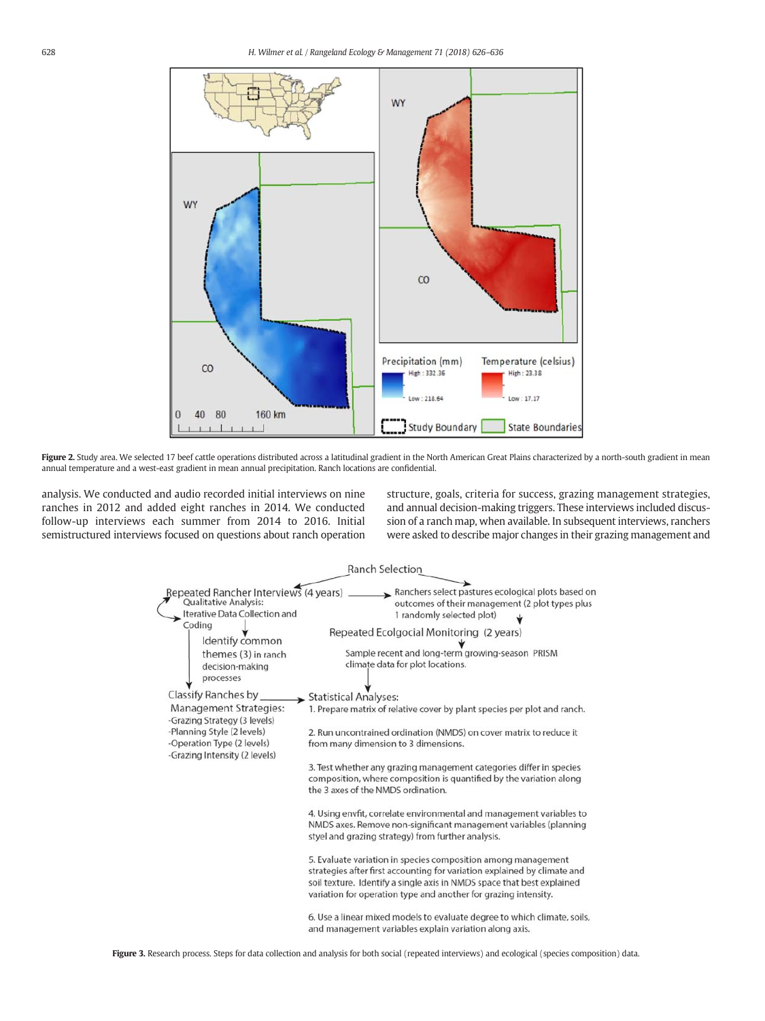<span id="page-2-0"></span>

Figure 2. Study area. We selected 17 beef cattle operations distributed across a latitudinal gradient in the North American Great Plains characterized by a north-south gradient in mean annual temperature and a west-east gradient in mean annual precipitation. Ranch locations are confidential.

analysis. We conducted and audio recorded initial interviews on nine ranches in 2012 and added eight ranches in 2014. We conducted follow-up interviews each summer from 2014 to 2016. Initial semistructured interviews focused on questions about ranch operation

structure, goals, criteria for success, grazing management strategies, and annual decision-making triggers. These interviews included discussion of a ranch map, when available. In subsequent interviews, ranchers were asked to describe major changes in their grazing management and

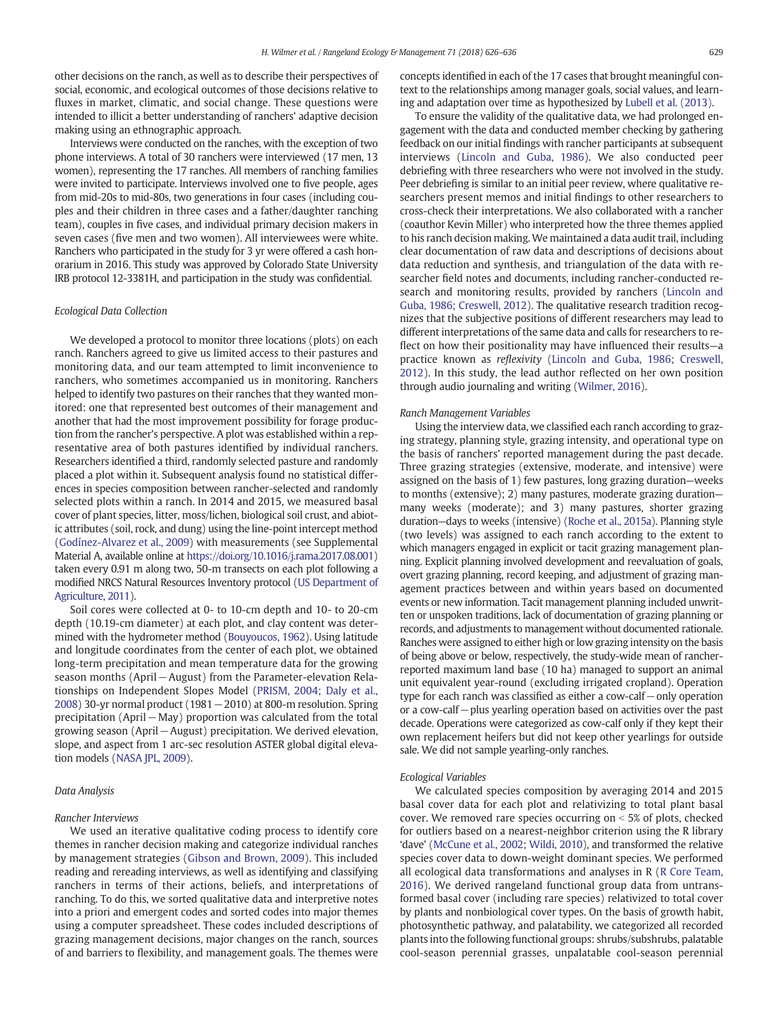other decisions on the ranch, as well as to describe their perspectives of social, economic, and ecological outcomes of those decisions relative to fluxes in market, climatic, and social change. These questions were intended to illicit a better understanding of ranchers' adaptive decision making using an ethnographic approach.

Interviews were conducted on the ranches, with the exception of two phone interviews. A total of 30 ranchers were interviewed (17 men, 13 women), representing the 17 ranches. All members of ranching families were invited to participate. Interviews involved one to five people, ages from mid-20s to mid-80s, two generations in four cases (including couples and their children in three cases and a father/daughter ranching team), couples in five cases, and individual primary decision makers in seven cases (five men and two women). All interviewees were white. Ranchers who participated in the study for 3 yr were offered a cash honorarium in 2016. This study was approved by Colorado State University IRB protocol 12-3381H, and participation in the study was confidential.

### Ecological Data Collection

We developed a protocol to monitor three locations (plots) on each ranch. Ranchers agreed to give us limited access to their pastures and monitoring data, and our team attempted to limit inconvenience to ranchers, who sometimes accompanied us in monitoring. Ranchers helped to identify two pastures on their ranches that they wanted monitored: one that represented best outcomes of their management and another that had the most improvement possibility for forage production from the rancher's perspective. A plot was established within a representative area of both pastures identified by individual ranchers. Researchers identified a third, randomly selected pasture and randomly placed a plot within it. Subsequent analysis found no statistical differences in species composition between rancher-selected and randomly selected plots within a ranch. In 2014 and 2015, we measured basal cover of plant species, litter, moss/lichen, biological soil crust, and abiotic attributes (soil, rock, and dung) using the line-point intercept method [\(Godínez-Alvarez et al., 2009\)](#page-9-0) with measurements (see Supplemental Material A, available online at [https://doi.org/10.1016/j.rama.2017.08.001](http://dx.doi.org/10.1016/j.rama.2017.08.001)) taken every 0.91 m along two, 50-m transects on each plot following a modified NRCS Natural Resources Inventory protocol [\(US Department of](#page-10-0) [Agriculture, 2011\)](#page-10-0).

Soil cores were collected at 0- to 10-cm depth and 10- to 20-cm depth (10.19-cm diameter) at each plot, and clay content was determined with the hydrometer method [\(Bouyoucos, 1962\)](#page-9-0). Using latitude and longitude coordinates from the center of each plot, we obtained long-term precipitation and mean temperature data for the growing season months (April−August) from the Parameter-elevation Relationships on Independent Slopes Model ([PRISM, 2004; Daly et al.,](#page-10-0) [2008](#page-10-0)) 30-yr normal product (1981−2010) at 800-m resolution. Spring precipitation (April−May) proportion was calculated from the total growing season (April−August) precipitation. We derived elevation, slope, and aspect from 1 arc-sec resolution ASTER global digital elevation models [\(NASA JPL, 2009](#page-10-0)).

#### Data Analysis

#### Rancher Interviews

We used an iterative qualitative coding process to identify core themes in rancher decision making and categorize individual ranches by management strategies ([Gibson and Brown, 2009\)](#page-9-0). This included reading and rereading interviews, as well as identifying and classifying ranchers in terms of their actions, beliefs, and interpretations of ranching. To do this, we sorted qualitative data and interpretive notes into a priori and emergent codes and sorted codes into major themes using a computer spreadsheet. These codes included descriptions of grazing management decisions, major changes on the ranch, sources of and barriers to flexibility, and management goals. The themes were

concepts identified in each of the 17 cases that brought meaningful context to the relationships among manager goals, social values, and learning and adaptation over time as hypothesized by [Lubell et al. \(2013\).](#page-10-0)

To ensure the validity of the qualitative data, we had prolonged engagement with the data and conducted member checking by gathering feedback on our initial findings with rancher participants at subsequent interviews [\(Lincoln and Guba, 1986\)](#page-9-0). We also conducted peer debriefing with three researchers who were not involved in the study. Peer debriefing is similar to an initial peer review, where qualitative researchers present memos and initial findings to other researchers to cross-check their interpretations. We also collaborated with a rancher (coauthor Kevin Miller) who interpreted how the three themes applied to his ranch decision making. We maintained a data audit trail, including clear documentation of raw data and descriptions of decisions about data reduction and synthesis, and triangulation of the data with researcher field notes and documents, including rancher-conducted research and monitoring results, provided by ranchers ([Lincoln and](#page-9-0) [Guba, 1986](#page-9-0); [Creswell, 2012](#page-9-0)). The qualitative research tradition recognizes that the subjective positions of different researchers may lead to different interpretations of the same data and calls for researchers to reflect on how their positionality may have influenced their results—a practice known as reflexivity ([Lincoln and Guba, 1986](#page-9-0); [Creswell,](#page-9-0) [2012\)](#page-9-0). In this study, the lead author reflected on her own position through audio journaling and writing ([Wilmer, 2016](#page-10-0)).

#### Ranch Management Variables

Using the interview data, we classified each ranch according to grazing strategy, planning style, grazing intensity, and operational type on the basis of ranchers' reported management during the past decade. Three grazing strategies (extensive, moderate, and intensive) were assigned on the basis of 1) few pastures, long grazing duration—weeks to months (extensive); 2) many pastures, moderate grazing duration many weeks (moderate); and 3) many pastures, shorter grazing duration—days to weeks (intensive) [\(Roche et al., 2015a\)](#page-10-0). Planning style (two levels) was assigned to each ranch according to the extent to which managers engaged in explicit or tacit grazing management planning. Explicit planning involved development and reevaluation of goals, overt grazing planning, record keeping, and adjustment of grazing management practices between and within years based on documented events or new information. Tacit management planning included unwritten or unspoken traditions, lack of documentation of grazing planning or records, and adjustments to management without documented rationale. Ranches were assigned to either high or low grazing intensity on the basis of being above or below, respectively, the study-wide mean of rancherreported maximum land base (10 ha) managed to support an animal unit equivalent year-round (excluding irrigated cropland). Operation type for each ranch was classified as either a cow-calf – only operation or a cow-calf−plus yearling operation based on activities over the past decade. Operations were categorized as cow-calf only if they kept their own replacement heifers but did not keep other yearlings for outside sale. We did not sample yearling-only ranches.

#### Ecological Variables

We calculated species composition by averaging 2014 and 2015 basal cover data for each plot and relativizing to total plant basal cover. We removed rare species occurring on  $\leq 5\%$  of plots, checked for outliers based on a nearest-neighbor criterion using the R library 'dave' [\(McCune et al., 2002](#page-10-0); [Wildi, 2010](#page-10-0)), and transformed the relative species cover data to down-weight dominant species. We performed all ecological data transformations and analyses in R ([R Core Team,](#page-10-0) [2016\)](#page-10-0). We derived rangeland functional group data from untransformed basal cover (including rare species) relativized to total cover by plants and nonbiological cover types. On the basis of growth habit, photosynthetic pathway, and palatability, we categorized all recorded plants into the following functional groups: shrubs/subshrubs, palatable cool-season perennial grasses, unpalatable cool-season perennial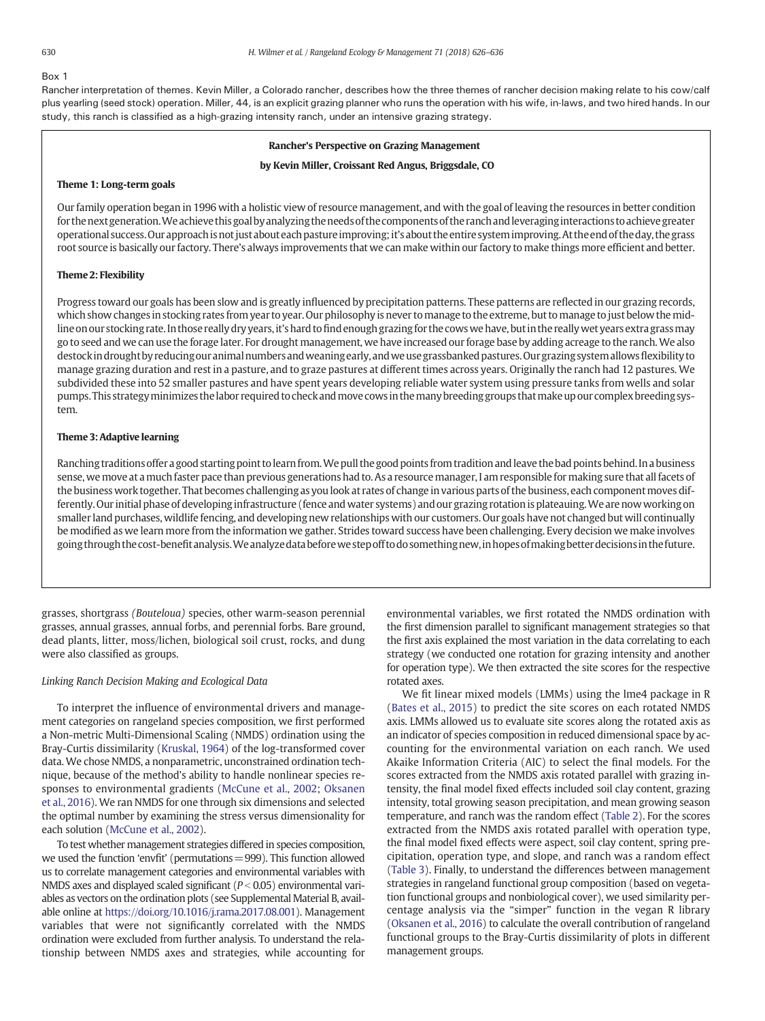# <span id="page-4-0"></span>Box 1

Rancher interpretation of themes. Kevin Miller, a Colorado rancher, describes how the three themes of rancher decision making relate to his cow/calf plus yearling (seed stock) operation. Miller, 44, is an explicit grazing planner who runs the operation with his wife, in-laws, and two hired hands. In our study, this ranch is classified as a high-grazing intensity ranch, under an intensive grazing strategy.

#### Rancher's Perspective on Grazing Management

#### by Kevin Miller, Croissant Red Angus, Briggsdale, CO

#### Theme 1: Long-term goals

Our family operation began in 1996 with a holistic view of resource management, and with the goal of leaving the resources in better condition for thenextgeneration.We achieve this goalby analyzing theneedsof thecomponents of the ranch andleveraginginteractions to achieve greater operational success.Our approachis not just about each pastureimproving;it's about the entire systemimproving.At the end of theday, the grass root source is basically our factory. There's always improvements that we can make within our factory to make things more efficient and better.

#### Theme 2: Flexibility

Progress toward our goals has been slow and is greatly influenced by precipitation patterns. These patterns are reflected in our grazing records, which show changes in stocking rates from year to year. Our philosophy is never tomanage to the extreme, but tomanage to just below themidline on our stocking rate. In those really dry years, it's hard to find enough grazing for the cows we have, but in the really wet years extra grass may go to seed and we can use the forage later. For drought management, we have increased our forage base by adding acreage to the ranch.We also destock in drought by reducing our animal numbers and weaning early, and we use grassbanked pastures. Our grazing system allows flexibility to manage grazing duration and rest in a pasture, and to graze pastures at different times across years. Originally the ranch had 12 pastures. We subdivided these into 52 smaller pastures and have spent years developing reliable water system using pressure tanks from wells and solar pumps. This strategy minimizes the labor required to check and move cows in the many breeding groups that make up our complex breeding system.

# Theme 3: Adaptive learning

Ranching traditions offer a good starting point tolearn from.We pull the good points from tradition andleave thebad points behind. In a business sense, we move at a much faster pace than previous generations had to. As a resourcemanager, I am responsible formaking sure that all facets of the business work together. That becomes challenging as you look at rates of change in various parts of the business, each component moves differently. Our initial phase of developing infrastructure (fence and water systems) and our grazing rotation is plateauing.We are nowworking on smaller land purchases, wildlife fencing, and developing new relationships with our customers. Our goals have not changed but will continually be modified as we learn more from the information we gather. Strides toward success have been challenging. Every decision we make involves going through thecost-benefit analysis.We analyzedata beforewestepoff todo somethingnew,inhopesofmakingbetterdecisionsin the future.

grasses, shortgrass (Bouteloua) species, other warm-season perennial grasses, annual grasses, annual forbs, and perennial forbs. Bare ground, dead plants, litter, moss/lichen, biological soil crust, rocks, and dung were also classified as groups.

#### Linking Ranch Decision Making and Ecological Data

To interpret the influence of environmental drivers and management categories on rangeland species composition, we first performed a Non-metric Multi-Dimensional Scaling (NMDS) ordination using the Bray-Curtis dissimilarity [\(Kruskal, 1964](#page-9-0)) of the log-transformed cover data. We chose NMDS, a nonparametric, unconstrained ordination technique, because of the method's ability to handle nonlinear species responses to environmental gradients [\(McCune et al., 2002](#page-10-0); [Oksanen](#page-10-0) [et al., 2016](#page-10-0)). We ran NMDS for one through six dimensions and selected the optimal number by examining the stress versus dimensionality for each solution [\(McCune et al., 2002\)](#page-10-0).

To test whether management strategies differed in species composition, we used the function 'envfit' (permutations=999). This function allowed us to correlate management categories and environmental variables with NMDS axes and displayed scaled significant ( $P < 0.05$ ) environmental variables as vectors on the ordination plots (see Supplemental Material B, available online at [https://doi.org/10.1016/j.rama.2017.08.001\)](http://dx.doi.org/10.1016/j.rama.2017.08.001). Management variables that were not significantly correlated with the NMDS ordination were excluded from further analysis. To understand the relationship between NMDS axes and strategies, while accounting for environmental variables, we first rotated the NMDS ordination with the first dimension parallel to significant management strategies so that the first axis explained the most variation in the data correlating to each strategy (we conducted one rotation for grazing intensity and another for operation type). We then extracted the site scores for the respective rotated axes.

We fit linear mixed models (LMMs) using the lme4 package in R ([Bates et al., 2015](#page-9-0)) to predict the site scores on each rotated NMDS axis. LMMs allowed us to evaluate site scores along the rotated axis as an indicator of species composition in reduced dimensional space by accounting for the environmental variation on each ranch. We used Akaike Information Criteria (AIC) to select the final models. For the scores extracted from the NMDS axis rotated parallel with grazing intensity, the final model fixed effects included soil clay content, grazing intensity, total growing season precipitation, and mean growing season temperature, and ranch was the random effect [\(Table 2](#page-8-0)). For the scores extracted from the NMDS axis rotated parallel with operation type, the final model fixed effects were aspect, soil clay content, spring precipitation, operation type, and slope, and ranch was a random effect [\(Table 3\)](#page-8-0). Finally, to understand the differences between management strategies in rangeland functional group composition (based on vegetation functional groups and nonbiological cover), we used similarity percentage analysis via the "simper" function in the vegan R library ([Oksanen et al., 2016](#page-10-0)) to calculate the overall contribution of rangeland functional groups to the Bray-Curtis dissimilarity of plots in different management groups.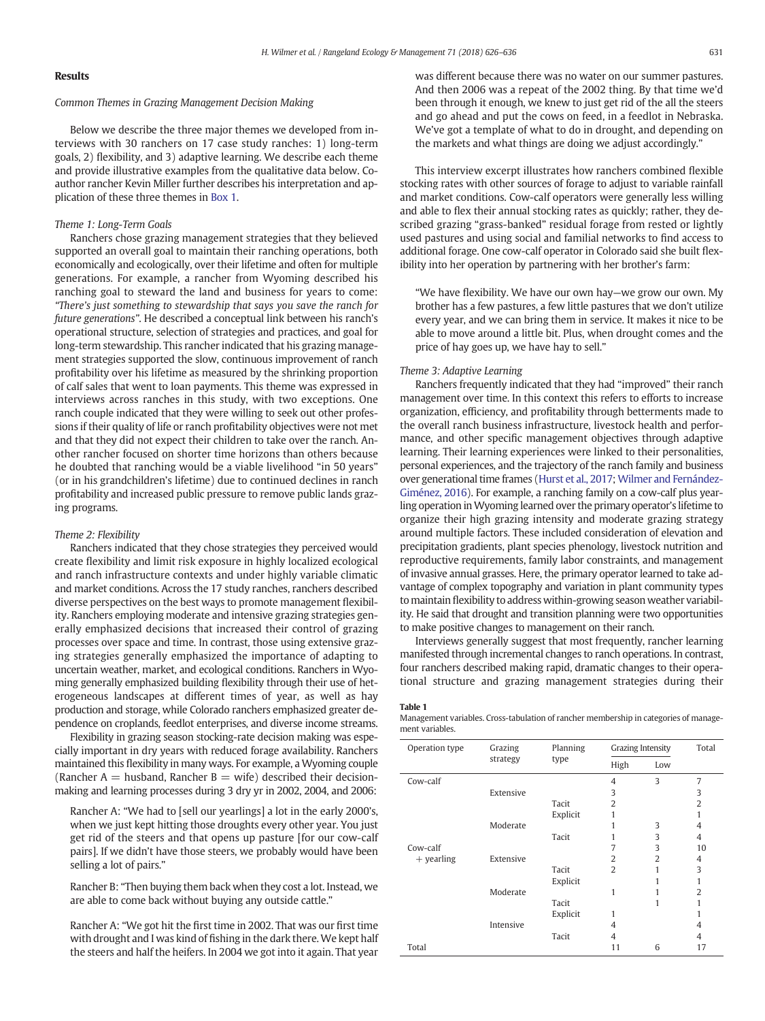### <span id="page-5-0"></span>**Results**

#### Common Themes in Grazing Management Decision Making

Below we describe the three major themes we developed from interviews with 30 ranchers on 17 case study ranches: 1) long-term goals, 2) flexibility, and 3) adaptive learning. We describe each theme and provide illustrative examples from the qualitative data below. Coauthor rancher Kevin Miller further describes his interpretation and application of these three themes in [Box 1.](#page-4-0)

#### Theme 1: Long-Term Goals

Ranchers chose grazing management strategies that they believed supported an overall goal to maintain their ranching operations, both economically and ecologically, over their lifetime and often for multiple generations. For example, a rancher from Wyoming described his ranching goal to steward the land and business for years to come: "There's just something to stewardship that says you save the ranch for future generations". He described a conceptual link between his ranch's operational structure, selection of strategies and practices, and goal for long-term stewardship. This rancher indicated that his grazing management strategies supported the slow, continuous improvement of ranch profitability over his lifetime as measured by the shrinking proportion of calf sales that went to loan payments. This theme was expressed in interviews across ranches in this study, with two exceptions. One ranch couple indicated that they were willing to seek out other professions if their quality of life or ranch profitability objectives were not met and that they did not expect their children to take over the ranch. Another rancher focused on shorter time horizons than others because he doubted that ranching would be a viable livelihood "in 50 years" (or in his grandchildren's lifetime) due to continued declines in ranch profitability and increased public pressure to remove public lands grazing programs.

#### Theme 2: Flexibility

Ranchers indicated that they chose strategies they perceived would create flexibility and limit risk exposure in highly localized ecological and ranch infrastructure contexts and under highly variable climatic and market conditions. Across the 17 study ranches, ranchers described diverse perspectives on the best ways to promote management flexibility. Ranchers employing moderate and intensive grazing strategies generally emphasized decisions that increased their control of grazing processes over space and time. In contrast, those using extensive grazing strategies generally emphasized the importance of adapting to uncertain weather, market, and ecological conditions. Ranchers in Wyoming generally emphasized building flexibility through their use of heterogeneous landscapes at different times of year, as well as hay production and storage, while Colorado ranchers emphasized greater dependence on croplands, feedlot enterprises, and diverse income streams.

Flexibility in grazing season stocking-rate decision making was especially important in dry years with reduced forage availability. Ranchers maintained this flexibility in many ways. For example, a Wyoming couple (Rancher A = husband, Rancher B = wife) described their decisionmaking and learning processes during 3 dry yr in 2002, 2004, and 2006:

Rancher A: "We had to [sell our yearlings] a lot in the early 2000's, when we just kept hitting those droughts every other year. You just get rid of the steers and that opens up pasture [for our cow-calf pairs]. If we didn't have those steers, we probably would have been selling a lot of pairs."

Rancher B: "Then buying them back when they cost a lot. Instead, we are able to come back without buying any outside cattle."

Rancher A: "We got hit the first time in 2002. That was our first time with drought and I was kind of fishing in the dark there. We kept half the steers and half the heifers. In 2004 we got into it again. That year

was different because there was no water on our summer pastures. And then 2006 was a repeat of the 2002 thing. By that time we'd been through it enough, we knew to just get rid of the all the steers and go ahead and put the cows on feed, in a feedlot in Nebraska. We've got a template of what to do in drought, and depending on the markets and what things are doing we adjust accordingly."

This interview excerpt illustrates how ranchers combined flexible stocking rates with other sources of forage to adjust to variable rainfall and market conditions. Cow-calf operators were generally less willing and able to flex their annual stocking rates as quickly; rather, they described grazing "grass-banked" residual forage from rested or lightly used pastures and using social and familial networks to find access to additional forage. One cow-calf operator in Colorado said she built flexibility into her operation by partnering with her brother's farm:

"We have flexibility. We have our own hay—we grow our own. My brother has a few pastures, a few little pastures that we don't utilize every year, and we can bring them in service. It makes it nice to be able to move around a little bit. Plus, when drought comes and the price of hay goes up, we have hay to sell."

#### Theme 3: Adaptive Learning

Ranchers frequently indicated that they had "improved" their ranch management over time. In this context this refers to efforts to increase organization, efficiency, and profitability through betterments made to the overall ranch business infrastructure, livestock health and performance, and other specific management objectives through adaptive learning. Their learning experiences were linked to their personalities, personal experiences, and the trajectory of the ranch family and business over generational time frames [\(Hurst et al., 2017;](#page-9-0) [Wilmer and Fernández-](#page-10-0)[Giménez, 2016](#page-10-0)). For example, a ranching family on a cow-calf plus yearling operation inWyoming learned over the primary operator's lifetime to organize their high grazing intensity and moderate grazing strategy around multiple factors. These included consideration of elevation and precipitation gradients, plant species phenology, livestock nutrition and reproductive requirements, family labor constraints, and management of invasive annual grasses. Here, the primary operator learned to take advantage of complex topography and variation in plant community types to maintain flexibility to address within-growing season weather variability. He said that drought and transition planning were two opportunities to make positive changes to management on their ranch.

Interviews generally suggest that most frequently, rancher learning manifested through incremental changes to ranch operations. In contrast, four ranchers described making rapid, dramatic changes to their operational structure and grazing management strategies during their

#### Table 1

Management variables. Cross-tabulation of rancher membership in categories of management variables.

| Operation type | Grazing   | Planning<br>type | Grazing Intensity |     | Total |
|----------------|-----------|------------------|-------------------|-----|-------|
|                | strategy  |                  | High              | Low |       |
| Cow-calf       |           |                  | 4                 | 3   | 7     |
|                | Extensive |                  | 3                 |     | 3     |
|                |           | Tacit            | 2                 |     | 2     |
|                |           | Explicit         | 1                 |     |       |
|                | Moderate  |                  |                   | 3   | 4     |
|                |           | Tacit            |                   | 3   | 4     |
| Cow-calf       |           |                  |                   | 3   | 10    |
| $+$ yearling   | Extensive |                  | 2                 | 2   | 4     |
|                |           | Tacit            | 2                 |     | 3     |
|                |           | Explicit         |                   |     |       |
|                | Moderate  |                  | 1                 |     | 2     |
|                |           | Tacit            |                   |     |       |
|                |           | Explicit         | 1                 |     |       |
|                | Intensive |                  | 4                 |     | 4     |
|                |           | Tacit            | 4                 |     | 4     |
| Total          |           |                  | 11                | 6   | 17    |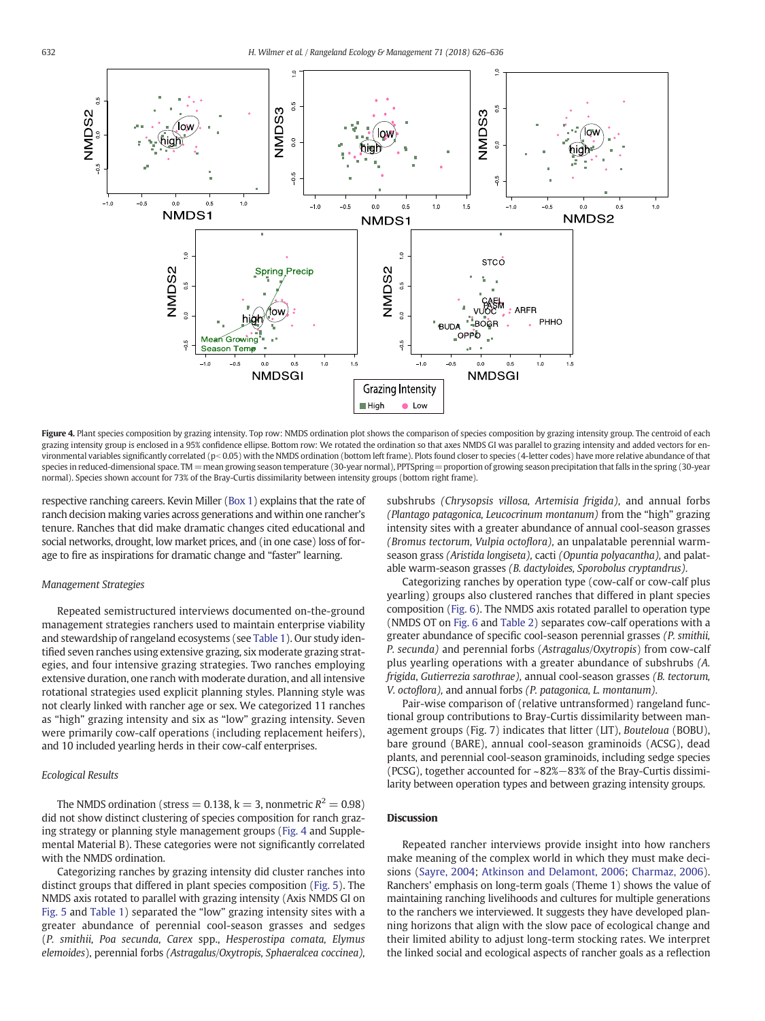

Figure 4. Plant species composition by grazing intensity. Top row: NMDS ordination plot shows the comparison of species composition by grazing intensity group. The centroid of each grazing intensity group is enclosed in a 95% confidence ellipse. Bottom row: We rotated the ordination so that axes NMDS GI was parallel to grazing intensity and added vectors for environmental variables significantly correlated ( $p < 0.05$ ) with the NMDS ordination (bottom left frame). Plots found closer to species (4-letter codes) have more relative abundance of that species in reduced-dimensional space. TM = mean growing season temperature (30-year normal), PPTSpring = proportion of growing season precipitation that falls in the spring (30-year normal). Species shown account for 73% of the Bray-Curtis dissimilarity between intensity groups (bottom right frame).

respective ranching careers. Kevin Miller [\(Box 1\)](#page-4-0) explains that the rate of ranch decision making varies across generations and within one rancher's tenure. Ranches that did make dramatic changes cited educational and social networks, drought, low market prices, and (in one case) loss of forage to fire as inspirations for dramatic change and "faster" learning.

#### Management Strategies

Repeated semistructured interviews documented on-the-ground management strategies ranchers used to maintain enterprise viability and stewardship of rangeland ecosystems (see [Table 1\)](#page-5-0). Our study identified seven ranches using extensive grazing, six moderate grazing strategies, and four intensive grazing strategies. Two ranches employing extensive duration, one ranch with moderate duration, and all intensive rotational strategies used explicit planning styles. Planning style was not clearly linked with rancher age or sex. We categorized 11 ranches as "high" grazing intensity and six as "low" grazing intensity. Seven were primarily cow-calf operations (including replacement heifers), and 10 included yearling herds in their cow-calf enterprises.

# Ecological Results

The NMDS ordination (stress = 0.138,  $k = 3$ , nonmetric  $R^2 = 0.98$ ) did not show distinct clustering of species composition for ranch grazing strategy or planning style management groups (Fig. 4 and Supplemental Material B). These categories were not significantly correlated with the NMDS ordination.

Categorizing ranches by grazing intensity did cluster ranches into distinct groups that differed in plant species composition ([Fig. 5\)](#page-7-0). The NMDS axis rotated to parallel with grazing intensity (Axis NMDS GI on [Fig. 5](#page-7-0) and [Table 1\)](#page-5-0) separated the "low" grazing intensity sites with a greater abundance of perennial cool-season grasses and sedges (P. smithii, Poa secunda, Carex spp., Hesperostipa comata, Elymus elemoides), perennial forbs (Astragalus/Oxytropis, Sphaeralcea coccinea), subshrubs (Chrysopsis villosa, Artemisia frigida), and annual forbs (Plantago patagonica, Leucocrinum montanum) from the "high" grazing intensity sites with a greater abundance of annual cool-season grasses (Bromus tectorum, Vulpia octoflora), an unpalatable perennial warmseason grass (Aristida longiseta), cacti (Opuntia polyacantha), and palatable warm-season grasses (B. dactyloides, Sporobolus cryptandrus).

Categorizing ranches by operation type (cow-calf or cow-calf plus yearling) groups also clustered ranches that differed in plant species composition [\(Fig. 6](#page-7-0)). The NMDS axis rotated parallel to operation type (NMDS OT on [Fig. 6](#page-7-0) and [Table 2\)](#page-8-0) separates cow-calf operations with a greater abundance of specific cool-season perennial grasses (P. smithii, P. secunda) and perennial forbs (Astragalus/Oxytropis) from cow-calf plus yearling operations with a greater abundance of subshrubs (A. frigida, Gutierrezia sarothrae), annual cool-season grasses (B. tectorum, V. octoflora), and annual forbs (P. patagonica, L. montanum).

Pair-wise comparison of (relative untransformed) rangeland functional group contributions to Bray-Curtis dissimilarity between management groups (Fig. 7) indicates that litter (LIT), Bouteloua (BOBU), bare ground (BARE), annual cool-season graminoids (ACSG), dead plants, and perennial cool-season graminoids, including sedge species (PCSG), together accounted for ~82%−83% of the Bray-Curtis dissimilarity between operation types and between grazing intensity groups.

# Discussion

Repeated rancher interviews provide insight into how ranchers make meaning of the complex world in which they must make decisions ([Sayre, 2004;](#page-10-0) [Atkinson and Delamont, 2006](#page-9-0); [Charmaz, 2006](#page-9-0)). Ranchers' emphasis on long-term goals (Theme 1) shows the value of maintaining ranching livelihoods and cultures for multiple generations to the ranchers we interviewed. It suggests they have developed planning horizons that align with the slow pace of ecological change and their limited ability to adjust long-term stocking rates. We interpret the linked social and ecological aspects of rancher goals as a reflection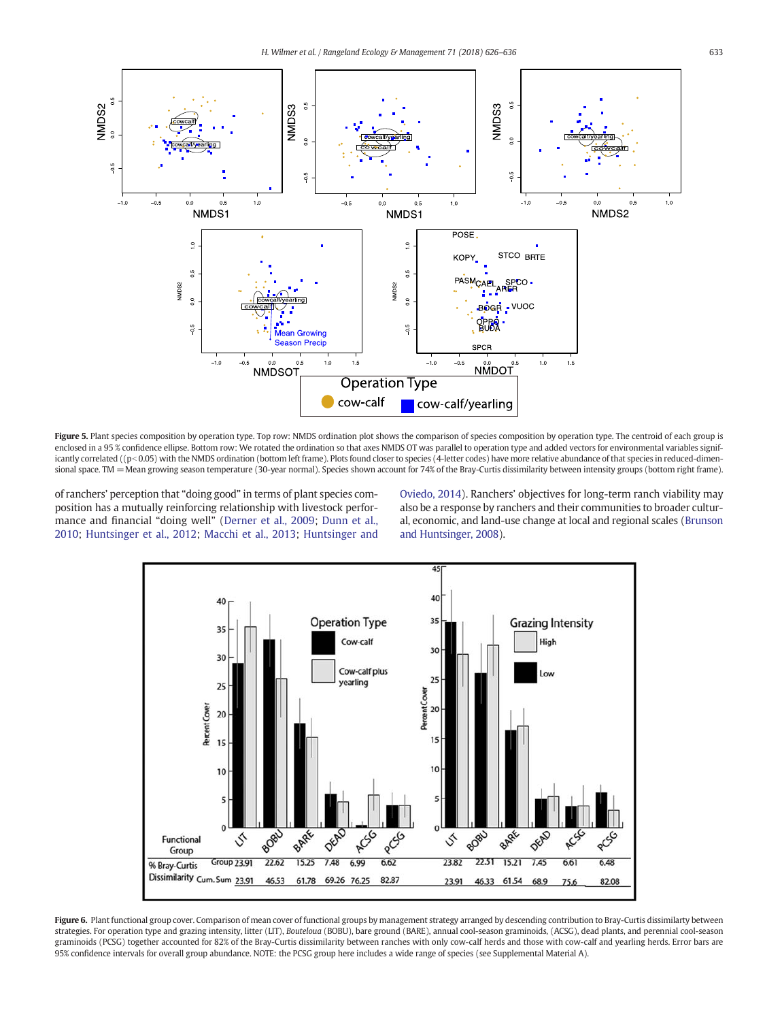<span id="page-7-0"></span>

Figure 5. Plant species composition by operation type. Top row: NMDS ordination plot shows the comparison of species composition by operation type. The centroid of each group is enclosed in a 95 % confidence ellipse. Bottom row: We rotated the ordination so that axes NMDS OT was parallel to operation type and added vectors for environmental variables significantly correlated ((p<0.05) with the NMDS ordination (bottom left frame). Plots found closer to species (4-letter codes) have more relative abundance of that species in reduced-dimensional space. TM = Mean growing season temperature (30-year normal). Species shown account for 74% of the Bray-Curtis dissimilarity between intensity groups (bottom right frame).

of ranchers' perception that "doing good" in terms of plant species composition has a mutually reinforcing relationship with livestock performance and financial "doing well" ([Derner et al., 2009](#page-9-0); [Dunn et al.,](#page-9-0) [2010;](#page-9-0) [Huntsinger et al., 2012;](#page-9-0) [Macchi et al., 2013;](#page-10-0) [Huntsinger and](#page-9-0)

[Oviedo, 2014](#page-9-0)). Ranchers' objectives for long-term ranch viability may also be a response by ranchers and their communities to broader cultural, economic, and land-use change at local and regional scales [\(Brunson](#page-9-0) [and Huntsinger, 2008](#page-9-0)).



Figure 6. Plant functional group cover. Comparison of mean cover of functional groups by management strategy arranged by descending contribution to Bray-Curtis dissimilarty between strategies. For operation type and grazing intensity, litter (LIT), Bouteloua (BOBU), bare ground (BARE), annual cool-season graminoids, (ACSG), dead plants, and perennial cool-season graminoids (PCSG) together accounted for 82% of the Bray-Curtis dissimilarity between ranches with only cow-calf herds and those with cow-calf and yearling herds. Error bars are 95% confidence intervals for overall group abundance. NOTE: the PCSG group here includes a wide range of species (see Supplemental Material A).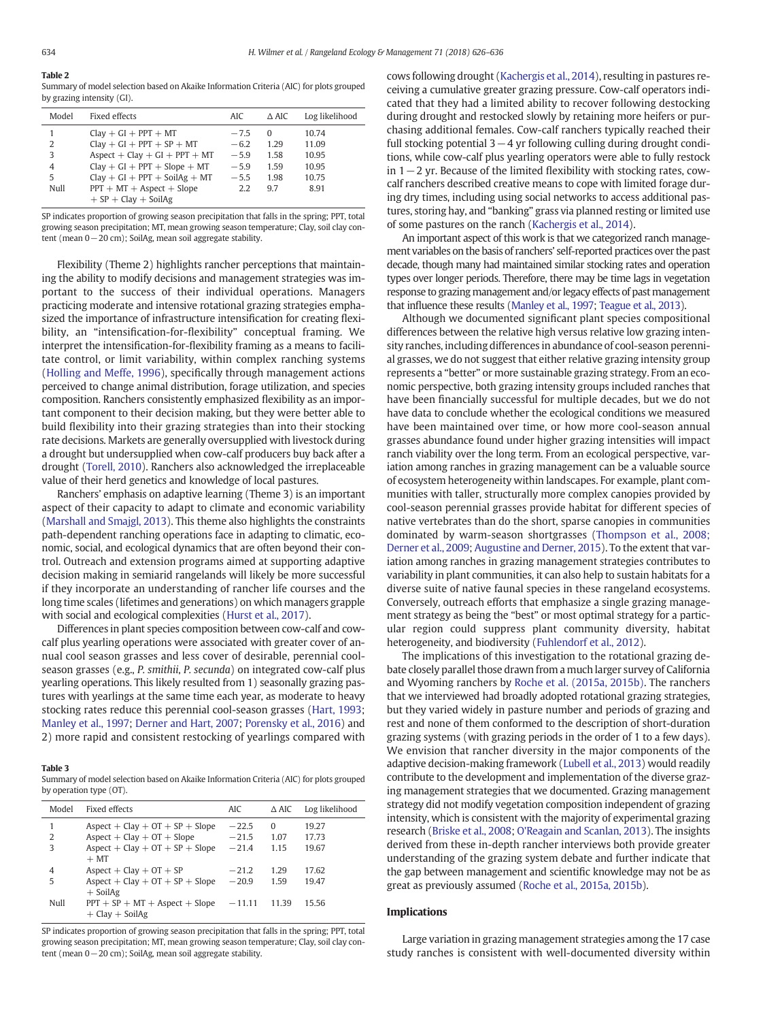#### <span id="page-8-0"></span>Table 2

Summary of model selection based on Akaike Information Criteria (AIC) for plots grouped by grazing intensity (GI).

| Model          | Fixed effects                   | AIC    | $\triangle$ AIC | Log likelihood |
|----------------|---------------------------------|--------|-----------------|----------------|
|                | $Clav + GI + PPT + MT$          | $-7.5$ | $\Omega$        | 10.74          |
| 2              | $Clav + GI + PPT + SP + MT$     | $-6.2$ | 1.29            | 11.09          |
| 3              | $Aspect + Clay + GI + PPT + MT$ | $-5.9$ | 1.58            | 10.95          |
| $\overline{4}$ | $Clav + GI + PPT + Slope + MT$  | $-5.9$ | 1.59            | 10.95          |
| 5              | $Clav + GI + PPT + SoilAg + MT$ | $-5.5$ | 1.98            | 10.75          |
| Null           | $PPT + MT + Aspect + Slope$     | 2.2    | 9.7             | 8.91           |
|                | $+ SP + Clav + SoilAg$          |        |                 |                |

SP indicates proportion of growing season precipitation that falls in the spring; PPT, total growing season precipitation; MT, mean growing season temperature; Clay, soil clay content (mean 0−20 cm); SoilAg, mean soil aggregate stability.

Flexibility (Theme 2) highlights rancher perceptions that maintaining the ability to modify decisions and management strategies was important to the success of their individual operations. Managers practicing moderate and intensive rotational grazing strategies emphasized the importance of infrastructure intensification for creating flexibility, an "intensification-for-flexibility" conceptual framing. We interpret the intensification-for-flexibility framing as a means to facilitate control, or limit variability, within complex ranching systems ([Holling and Meffe, 1996\)](#page-9-0), specifically through management actions perceived to change animal distribution, forage utilization, and species composition. Ranchers consistently emphasized flexibility as an important component to their decision making, but they were better able to build flexibility into their grazing strategies than into their stocking rate decisions. Markets are generally oversupplied with livestock during a drought but undersupplied when cow-calf producers buy back after a drought [\(Torell, 2010\)](#page-10-0). Ranchers also acknowledged the irreplaceable value of their herd genetics and knowledge of local pastures.

Ranchers' emphasis on adaptive learning (Theme 3) is an important aspect of their capacity to adapt to climate and economic variability ([Marshall and Smajgl, 2013](#page-10-0)). This theme also highlights the constraints path-dependent ranching operations face in adapting to climatic, economic, social, and ecological dynamics that are often beyond their control. Outreach and extension programs aimed at supporting adaptive decision making in semiarid rangelands will likely be more successful if they incorporate an understanding of rancher life courses and the long time scales (lifetimes and generations) on which managers grapple with social and ecological complexities [\(Hurst et al., 2017](#page-9-0)).

Differences in plant species composition between cow-calf and cowcalf plus yearling operations were associated with greater cover of annual cool season grasses and less cover of desirable, perennial coolseason grasses (e.g., P. smithii, P. secunda) on integrated cow-calf plus yearling operations. This likely resulted from 1) seasonally grazing pastures with yearlings at the same time each year, as moderate to heavy stocking rates reduce this perennial cool-season grasses [\(Hart, 1993;](#page-9-0) [Manley et al., 1997](#page-10-0); [Derner and Hart, 2007](#page-9-0); [Porensky et al., 2016](#page-10-0)) and 2) more rapid and consistent restocking of yearlings compared with

#### Table 3

Summary of model selection based on Akaike Information Criteria (AIC) for plots grouped by operation type (OT).

| Model          | Fixed effects                                           | AIC      | $\Delta$ AIC | Log likelihood |
|----------------|---------------------------------------------------------|----------|--------------|----------------|
| 1              | $Aspect + Clay + OT + SP + Slope$                       | $-22.5$  | $\Omega$     | 19.27          |
| 2              | $Aspect + Clay + OT + Slope$                            | $-21.5$  | 1.07         | 17.73          |
| 3              | $Aspect + Clay + OT + SP + Slope$<br>$+MT$              | $-21.4$  | 1.15         | 19.67          |
| $\overline{4}$ | Aspect + $Clav + OT + SP$                               | $-21.2$  | 1.29         | 17.62          |
| 5              | Aspect + $Clav$ + $OT$ + $SP$ + $Slope$<br>$+$ SoilAg   | $-20.9$  | 1.59         | 19.47          |
| Null           | $PPT + SP + MT + Aspect + Slope$<br>$+$ Clay $+$ SoilAg | $-11.11$ | 11.39        | 15.56          |

SP indicates proportion of growing season precipitation that falls in the spring; PPT, total growing season precipitation; MT, mean growing season temperature; Clay, soil clay content (mean 0−20 cm); SoilAg, mean soil aggregate stability.

cows following drought [\(Kachergis et al., 2014\)](#page-9-0), resulting in pastures receiving a cumulative greater grazing pressure. Cow-calf operators indicated that they had a limited ability to recover following destocking during drought and restocked slowly by retaining more heifers or purchasing additional females. Cow-calf ranchers typically reached their full stocking potential 3−4 yr following culling during drought conditions, while cow-calf plus yearling operators were able to fully restock in 1−2 yr. Because of the limited flexibility with stocking rates, cowcalf ranchers described creative means to cope with limited forage during dry times, including using social networks to access additional pastures, storing hay, and "banking" grass via planned resting or limited use of some pastures on the ranch [\(Kachergis et al., 2014](#page-9-0)).

An important aspect of this work is that we categorized ranch management variables on the basis of ranchers' self-reported practices over the past decade, though many had maintained similar stocking rates and operation types over longer periods. Therefore, there may be time lags in vegetation response to grazing management and/or legacy effects of past management that influence these results [\(Manley et al., 1997;](#page-10-0) [Teague et al., 2013](#page-10-0)).

Although we documented significant plant species compositional differences between the relative high versus relative low grazing intensity ranches, including differences in abundance of cool-season perennial grasses, we do not suggest that either relative grazing intensity group represents a "better" or more sustainable grazing strategy. From an economic perspective, both grazing intensity groups included ranches that have been financially successful for multiple decades, but we do not have data to conclude whether the ecological conditions we measured have been maintained over time, or how more cool-season annual grasses abundance found under higher grazing intensities will impact ranch viability over the long term. From an ecological perspective, variation among ranches in grazing management can be a valuable source of ecosystem heterogeneity within landscapes. For example, plant communities with taller, structurally more complex canopies provided by cool-season perennial grasses provide habitat for different species of native vertebrates than do the short, sparse canopies in communities dominated by warm-season shortgrasses [\(Thompson et al., 2008;](#page-10-0) [Derner et al., 2009](#page-10-0); [Augustine and Derner, 2015\)](#page-9-0). To the extent that variation among ranches in grazing management strategies contributes to variability in plant communities, it can also help to sustain habitats for a diverse suite of native faunal species in these rangeland ecosystems. Conversely, outreach efforts that emphasize a single grazing management strategy as being the "best" or most optimal strategy for a particular region could suppress plant community diversity, habitat heterogeneity, and biodiversity ([Fuhlendorf et al., 2012](#page-9-0)).

The implications of this investigation to the rotational grazing debate closely parallel those drawn from a much larger survey of California and Wyoming ranchers by [Roche et al. \(2015a, 2015b\)](#page-10-0). The ranchers that we interviewed had broadly adopted rotational grazing strategies, but they varied widely in pasture number and periods of grazing and rest and none of them conformed to the description of short-duration grazing systems (with grazing periods in the order of 1 to a few days). We envision that rancher diversity in the major components of the adaptive decision-making framework [\(Lubell et al., 2013\)](#page-10-0) would readily contribute to the development and implementation of the diverse grazing management strategies that we documented. Grazing management strategy did not modify vegetation composition independent of grazing intensity, which is consistent with the majority of experimental grazing research ([Briske et al., 2008](#page-9-0); [O'Reagain and Scanlan, 2013](#page-10-0)). The insights derived from these in-depth rancher interviews both provide greater understanding of the grazing system debate and further indicate that the gap between management and scientific knowledge may not be as great as previously assumed [\(Roche et al., 2015a, 2015b\)](#page-10-0).

# Implications

Large variation in grazing management strategies among the 17 case study ranches is consistent with well-documented diversity within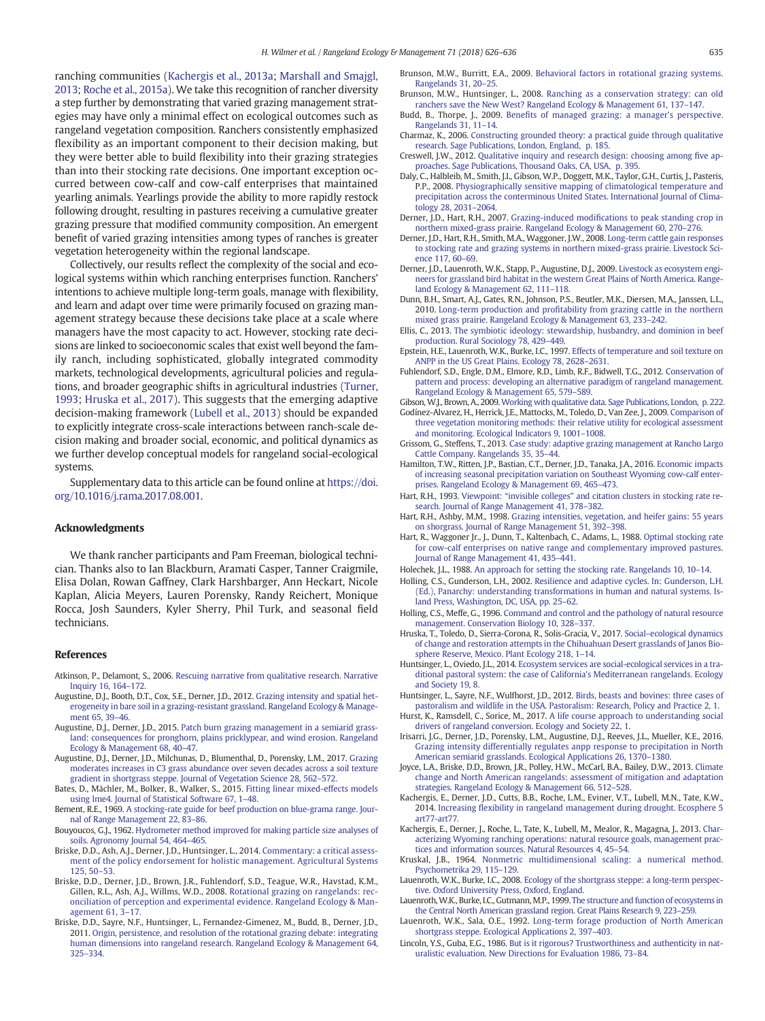<span id="page-9-0"></span>ranching communities (Kachergis et al., 2013a; [Marshall and Smajgl,](#page-10-0) [2013](#page-10-0); [Roche et al., 2015a\)](#page-10-0). We take this recognition of rancher diversity a step further by demonstrating that varied grazing management strategies may have only a minimal effect on ecological outcomes such as rangeland vegetation composition. Ranchers consistently emphasized flexibility as an important component to their decision making, but they were better able to build flexibility into their grazing strategies than into their stocking rate decisions. One important exception occurred between cow-calf and cow-calf enterprises that maintained yearling animals. Yearlings provide the ability to more rapidly restock following drought, resulting in pastures receiving a cumulative greater grazing pressure that modified community composition. An emergent benefit of varied grazing intensities among types of ranches is greater vegetation heterogeneity within the regional landscape.

Collectively, our results reflect the complexity of the social and ecological systems within which ranching enterprises function. Ranchers' intentions to achieve multiple long-term goals, manage with flexibility, and learn and adapt over time were primarily focused on grazing management strategy because these decisions take place at a scale where managers have the most capacity to act. However, stocking rate decisions are linked to socioeconomic scales that exist well beyond the family ranch, including sophisticated, globally integrated commodity markets, technological developments, agricultural policies and regulations, and broader geographic shifts in agricultural industries ([Turner,](#page-10-0) [1993;](#page-10-0) Hruska et al., 2017). This suggests that the emerging adaptive decision-making framework ([Lubell et al., 2013\)](#page-10-0) should be expanded to explicitly integrate cross-scale interactions between ranch-scale decision making and broader social, economic, and political dynamics as we further develop conceptual models for rangeland social-ecological systems.

Supplementary data to this article can be found online at [https://doi.](http://dx.doi.org/10.1016/j.rama.2017.08.001) [org/10.1016/j.rama.2017.08.001.](http://dx.doi.org/10.1016/j.rama.2017.08.001)

#### Acknowledgments

We thank rancher participants and Pam Freeman, biological technician. Thanks also to Ian Blackburn, Aramati Casper, Tanner Craigmile, Elisa Dolan, Rowan Gaffney, Clark Harshbarger, Ann Heckart, Nicole Kaplan, Alicia Meyers, Lauren Porensky, Randy Reichert, Monique Rocca, Josh Saunders, Kyler Sherry, Phil Turk, and seasonal field technicians.

#### References

- Atkinson, P., Delamont, S., 2006. [Rescuing narrative from qualitative research. Narrative](http://refhub.elsevier.com/S1550-7424(17)30089-1/rf0005) [Inquiry 16, 164](http://refhub.elsevier.com/S1550-7424(17)30089-1/rf0005)–172.
- Augustine, D.J., Booth, D.T., Cox, S.E., Derner, J.D., 2012. [Grazing intensity and spatial het](http://refhub.elsevier.com/S1550-7424(17)30089-1/rf0010)[erogeneity in bare soil in a grazing-resistant grassland. Rangeland Ecology & Manage](http://refhub.elsevier.com/S1550-7424(17)30089-1/rf0010)[ment 65, 39](http://refhub.elsevier.com/S1550-7424(17)30089-1/rf0010)–46.
- Augustine, D.J., Derner, J.D., 2015. [Patch burn grazing management in a semiarid grass](http://refhub.elsevier.com/S1550-7424(17)30089-1/rf0015)[land: consequences for pronghorn, plains pricklypear, and wind erosion. Rangeland](http://refhub.elsevier.com/S1550-7424(17)30089-1/rf0015) [Ecology & Management 68, 40](http://refhub.elsevier.com/S1550-7424(17)30089-1/rf0015)–47.
- Augustine, D.J., Derner, J.D., Milchunas, D., Blumenthal, D., Porensky, L.M., 2017. [Grazing](http://refhub.elsevier.com/S1550-7424(17)30089-1/rf0020) [moderates increases in C3 grass abundance over seven decades across a soil texture](http://refhub.elsevier.com/S1550-7424(17)30089-1/rf0020) [gradient in shortgrass steppe. Journal of Vegetation Science 28, 562](http://refhub.elsevier.com/S1550-7424(17)30089-1/rf0020)–572.
- Bates, D., Mächler, M., Bolker, B., Walker, S., 2015. [Fitting linear mixed-effects models](http://refhub.elsevier.com/S1550-7424(17)30089-1/rf0025) [using lme4. Journal of Statistical Software 67, 1](http://refhub.elsevier.com/S1550-7424(17)30089-1/rf0025)–48.
- Bement, R.E., 1969. [A stocking-rate guide for beef production on blue-grama range. Jour](http://refhub.elsevier.com/S1550-7424(17)30089-1/rf0030)[nal of Range Management 22, 83](http://refhub.elsevier.com/S1550-7424(17)30089-1/rf0030)–86.
- Bouyoucos, G.J., 1962. [Hydrometer method improved for making particle size analyses of](http://refhub.elsevier.com/S1550-7424(17)30089-1/rf0035) [soils. Agronomy Journal 54, 464](http://refhub.elsevier.com/S1550-7424(17)30089-1/rf0035)–465.
- Briske, D.D., Ash, A.J., Derner, J.D., Huntsinger, L., 2014. [Commentary: a critical assess](http://refhub.elsevier.com/S1550-7424(17)30089-1/rf0040)[ment of the policy endorsement for holistic management. Agricultural Systems](http://refhub.elsevier.com/S1550-7424(17)30089-1/rf0040) [125, 50](http://refhub.elsevier.com/S1550-7424(17)30089-1/rf0040)–53.
- Briske, D.D., Derner, J.D., Brown, J.R., Fuhlendorf, S.D., Teague, W.R., Havstad, K.M., Gillen, R.L., Ash, A.J., Willms, W.D., 2008. [Rotational grazing on rangelands: rec](http://refhub.elsevier.com/S1550-7424(17)30089-1/rf0045)[onciliation of perception and experimental evidence. Rangeland Ecology & Man](http://refhub.elsevier.com/S1550-7424(17)30089-1/rf0045)[agement 61, 3](http://refhub.elsevier.com/S1550-7424(17)30089-1/rf0045)–17.
- Briske, D.D., Sayre, N.F., Huntsinger, L., Fernandez-Gimenez, M., Budd, B., Derner, J.D., 2011. [Origin, persistence, and resolution of the rotational grazing debate: integrating](http://refhub.elsevier.com/S1550-7424(17)30089-1/rf0050) [human dimensions into rangeland research. Rangeland Ecology & Management 64,](http://refhub.elsevier.com/S1550-7424(17)30089-1/rf0050) [325](http://refhub.elsevier.com/S1550-7424(17)30089-1/rf0050)–334.
- Brunson, M.W., Burritt, E.A., 2009. [Behavioral factors in rotational grazing systems.](http://refhub.elsevier.com/S1550-7424(17)30089-1/rf0055) [Rangelands 31, 20](http://refhub.elsevier.com/S1550-7424(17)30089-1/rf0055)–25.
- Brunson, M.W., Huntsinger, L., 2008. [Ranching as a conservation strategy: can old](http://refhub.elsevier.com/S1550-7424(17)30089-1/rf0060) [ranchers save the New West? Rangeland Ecology & Management 61, 137](http://refhub.elsevier.com/S1550-7424(17)30089-1/rf0060)–147.
- Budd, B., Thorpe, J., 2009. Benefi[ts of managed grazing: a manager's perspective.](http://refhub.elsevier.com/S1550-7424(17)30089-1/rf0065) [Rangelands 31, 11](http://refhub.elsevier.com/S1550-7424(17)30089-1/rf0065)–14.
- Charmaz, K., 2006. [Constructing grounded theory: a practical guide through qualitative](http://refhub.elsevier.com/S1550-7424(17)30089-1/rf0070) [research. Sage Publications, London, England, p. 185](http://refhub.elsevier.com/S1550-7424(17)30089-1/rf0070).
- Creswell, J.W., 2012. [Qualitative inquiry and research design: choosing among](http://refhub.elsevier.com/S1550-7424(17)30089-1/rf0075) five ap[proaches. Sage Publications, Thousand Oaks, CA, USA, p. 395.](http://refhub.elsevier.com/S1550-7424(17)30089-1/rf0075)
- Daly, C., Halbleib, M., Smith, J.I., Gibson, W.P., Doggett, M.K., Taylor, G.H., Curtis, J., Pasteris, P.P., 2008. [Physiographically sensitive mapping of climatological temperature and](http://refhub.elsevier.com/S1550-7424(17)30089-1/rf9000) [precipitation across the conterminous United States. International Journal of Clima](http://refhub.elsevier.com/S1550-7424(17)30089-1/rf9000)[tology 28, 2031](http://refhub.elsevier.com/S1550-7424(17)30089-1/rf9000)–2064.
- Derner, J.D., Hart, R.H., 2007. Grazing-induced modifi[cations to peak standing crop in](http://refhub.elsevier.com/S1550-7424(17)30089-1/rf0080) [northern mixed-grass prairie. Rangeland Ecology & Management 60, 270](http://refhub.elsevier.com/S1550-7424(17)30089-1/rf0080)–276.
- Derner, J.D., Hart, R.H., Smith, M.A., Waggoner, J.W., 2008. [Long-term cattle gain responses](http://refhub.elsevier.com/S1550-7424(17)30089-1/rf0085) [to stocking rate and grazing systems in northern mixed-grass prairie. Livestock Sci](http://refhub.elsevier.com/S1550-7424(17)30089-1/rf0085)[ence 117, 60](http://refhub.elsevier.com/S1550-7424(17)30089-1/rf0085)–69.
- Derner, J.D., Lauenroth, W.K., Stapp, P., Augustine, D.J., 2009. [Livestock as ecosystem engi](http://refhub.elsevier.com/S1550-7424(17)30089-1/rf0090)[neers for grassland bird habitat in the western Great Plains of North America. Range](http://refhub.elsevier.com/S1550-7424(17)30089-1/rf0090)[land Ecology & Management 62, 111](http://refhub.elsevier.com/S1550-7424(17)30089-1/rf0090)–118.
- Dunn, B.H., Smart, A.J., Gates, R.N., Johnson, P.S., Beutler, M.K., Diersen, M.A., Janssen, L.L., 2010. Long-term production and profi[tability from grazing cattle in the northern](http://refhub.elsevier.com/S1550-7424(17)30089-1/rf0095) [mixed grass prairie. Rangeland Ecology & Management 63, 233](http://refhub.elsevier.com/S1550-7424(17)30089-1/rf0095)–242.
- Ellis, C., 2013. [The symbiotic ideology: stewardship, husbandry, and dominion in beef](http://refhub.elsevier.com/S1550-7424(17)30089-1/rf0100) [production. Rural Sociology 78, 429](http://refhub.elsevier.com/S1550-7424(17)30089-1/rf0100)–449.
- Epstein, H.E., Lauenroth, W.K., Burke, I.C., 1997. [Effects of temperature and soil texture on](http://refhub.elsevier.com/S1550-7424(17)30089-1/rf0105) [ANPP in the US Great Plains. Ecology 78, 2628](http://refhub.elsevier.com/S1550-7424(17)30089-1/rf0105)–2631.
- Fuhlendorf, S.D., Engle, D.M., Elmore, R.D., Limb, R.F., Bidwell, T.G., 2012. [Conservation of](http://refhub.elsevier.com/S1550-7424(17)30089-1/rf0110) [pattern and process: developing an alternative paradigm of rangeland management.](http://refhub.elsevier.com/S1550-7424(17)30089-1/rf0110) [Rangeland Ecology & Management 65, 579](http://refhub.elsevier.com/S1550-7424(17)30089-1/rf0110)–589.
- Gibson, W.J., Brown, A., 2009. [Working with qualitative data. Sage Publications, London, p. 222](http://refhub.elsevier.com/S1550-7424(17)30089-1/rf0115). Godínez-Alvarez, H., Herrick, J.E., Mattocks, M., Toledo, D., Van Zee, J., 2009. [Comparison of](http://refhub.elsevier.com/S1550-7424(17)30089-1/rf0120) [three vegetation monitoring methods: their relative utility for ecological assessment](http://refhub.elsevier.com/S1550-7424(17)30089-1/rf0120) [and monitoring. Ecological Indicators 9, 1001](http://refhub.elsevier.com/S1550-7424(17)30089-1/rf0120)–1008.
- Grissom, G., Steffens, T., 2013. [Case study: adaptive grazing management at Rancho Largo](http://refhub.elsevier.com/S1550-7424(17)30089-1/rf0125) [Cattle Company. Rangelands 35, 35](http://refhub.elsevier.com/S1550-7424(17)30089-1/rf0125)–44.
- Hamilton, T.W., Ritten, J.P., Bastian, C.T., Derner, J.D., Tanaka, J.A., 2016. [Economic impacts](http://refhub.elsevier.com/S1550-7424(17)30089-1/rf0130) [of increasing seasonal precipitation variation on Southeast Wyoming cow-calf enter](http://refhub.elsevier.com/S1550-7424(17)30089-1/rf0130)[prises. Rangeland Ecology & Management 69, 465](http://refhub.elsevier.com/S1550-7424(17)30089-1/rf0130)–473.
- Hart, R.H., 1993. Viewpoint: "invisible colleges" [and citation clusters in stocking rate re](http://refhub.elsevier.com/S1550-7424(17)30089-1/rf0135)[search. Journal of Range Management 41, 378](http://refhub.elsevier.com/S1550-7424(17)30089-1/rf0135)–382.
- Hart, R.H., Ashby, M.M., 1998. [Grazing intensities, vegetation, and heifer gains: 55 years](http://refhub.elsevier.com/S1550-7424(17)30089-1/rf0140) [on shorgrass. Journal of Range Management 51, 392](http://refhub.elsevier.com/S1550-7424(17)30089-1/rf0140)–398.
- Hart, R., Waggoner Jr., J., Dunn, T., Kaltenbach, C., Adams, L., 1988. [Optimal stocking rate](http://refhub.elsevier.com/S1550-7424(17)30089-1/rf0145) [for cow-calf enterprises on native range and complementary improved pastures.](http://refhub.elsevier.com/S1550-7424(17)30089-1/rf0145) [Journal of Range Management 41, 435](http://refhub.elsevier.com/S1550-7424(17)30089-1/rf0145)–441.
- Holechek, J.L., 1988. [An approach for setting the stocking rate. Rangelands 10, 10](http://refhub.elsevier.com/S1550-7424(17)30089-1/rf0150)–14.
- Holling, C.S., Gunderson, L.H., 2002. [Resilience and adaptive cycles. In: Gunderson, L.H.](http://refhub.elsevier.com/S1550-7424(17)30089-1/rf0155) [\(Ed.\), Panarchy: understanding transformations in human and natural systems. Is](http://refhub.elsevier.com/S1550-7424(17)30089-1/rf0155)[land Press, Washington, DC, USA, pp. 25](http://refhub.elsevier.com/S1550-7424(17)30089-1/rf0155)–62.
- Holling, C.S., Meffe, G., 1996. [Command and control and the pathology of natural resource](http://refhub.elsevier.com/S1550-7424(17)30089-1/rf0160) [management. Conservation Biology 10, 328](http://refhub.elsevier.com/S1550-7424(17)30089-1/rf0160)–337.
- Hruska, T., Toledo, D., Sierra-Corona, R., Solis-Gracia, V., 2017. Social–[ecological dynamics](http://refhub.elsevier.com/S1550-7424(17)30089-1/rf0165) [of change and restoration attempts in the Chihuahuan Desert grasslands of Janos Bio](http://refhub.elsevier.com/S1550-7424(17)30089-1/rf0165)[sphere Reserve, Mexico. Plant Ecology 218, 1](http://refhub.elsevier.com/S1550-7424(17)30089-1/rf0165)–14.
- Huntsinger, L., Oviedo, J.L., 2014. [Ecosystem services are social-ecological services in a tra](http://refhub.elsevier.com/S1550-7424(17)30089-1/rf0170)[ditional pastoral system: the case of California's Mediterranean rangelands. Ecology](http://refhub.elsevier.com/S1550-7424(17)30089-1/rf0170) [and Society 19, 8](http://refhub.elsevier.com/S1550-7424(17)30089-1/rf0170).
- Huntsinger, L., Sayre, N.F., Wulfhorst, J.D., 2012. [Birds, beasts and bovines: three cases of](http://refhub.elsevier.com/S1550-7424(17)30089-1/rf0175) [pastoralism and wildlife in the USA. Pastoralism: Research, Policy and Practice 2, 1](http://refhub.elsevier.com/S1550-7424(17)30089-1/rf0175).
- Hurst, K., Ramsdell, C., Sorice, M., 2017. [A life course approach to understanding social](http://refhub.elsevier.com/S1550-7424(17)30089-1/rf0180) [drivers of rangeland conversion. Ecology and Society 22, 1](http://refhub.elsevier.com/S1550-7424(17)30089-1/rf0180).
- Irisarri, J.G., Derner, J.D., Porensky, L.M., Augustine, D.J., Reeves, J.L., Mueller, K.E., 2016. [Grazing intensity differentially regulates anpp response to precipitation in North](http://refhub.elsevier.com/S1550-7424(17)30089-1/rf0185) [American semiarid grasslands. Ecological Applications 26, 1370](http://refhub.elsevier.com/S1550-7424(17)30089-1/rf0185)–1380.
- Joyce, L.A., Briske, D.D., Brown, J.R., Polley, H.W., McCarl, B.A., Bailey, D.W., 2013. [Climate](http://refhub.elsevier.com/S1550-7424(17)30089-1/rf0190) [change and North American rangelands: assessment of mitigation and adaptation](http://refhub.elsevier.com/S1550-7424(17)30089-1/rf0190) [strategies. Rangeland Ecology & Management 66, 512](http://refhub.elsevier.com/S1550-7424(17)30089-1/rf0190)–528.
- Kachergis, E., Derner, J.D., Cutts, B.B., Roche, L.M., Eviner, V.T., Lubell, M.N., Tate, K.W., 2014. Increasing fl[exibility in rangeland management during drought. Ecosphere 5](http://refhub.elsevier.com/S1550-7424(17)30089-1/rf0195) [art77-art77.](http://refhub.elsevier.com/S1550-7424(17)30089-1/rf0195)
- Kachergis, E., Derner, J., Roche, L., Tate, K., Lubell, M., Mealor, R., Magagna, J., 2013. [Char](http://refhub.elsevier.com/S1550-7424(17)30089-1/rf0200)[acterizing Wyoming ranching operations: natural resource goals, management prac](http://refhub.elsevier.com/S1550-7424(17)30089-1/rf0200)[tices and information sources. Natural Resources 4, 45](http://refhub.elsevier.com/S1550-7424(17)30089-1/rf0200)–54.
- Kruskal, J.B., 1964. [Nonmetric multidimensional scaling: a numerical method.](http://refhub.elsevier.com/S1550-7424(17)30089-1/rf0210) [Psychometrika 29, 115](http://refhub.elsevier.com/S1550-7424(17)30089-1/rf0210)–129.
- Lauenroth, W.K., Burke, I.C., 2008. [Ecology of the shortgrass steppe: a long-term perspec](http://refhub.elsevier.com/S1550-7424(17)30089-1/rf0215)[tive. Oxford University Press, Oxford, England](http://refhub.elsevier.com/S1550-7424(17)30089-1/rf0215).
- Lauenroth,W.K., Burke, I.C., Gutmann, M.P., 1999. [The structure and function of ecosystems in](http://refhub.elsevier.com/S1550-7424(17)30089-1/rf0220) [the Central North American grassland region. Great Plains Research 9, 223](http://refhub.elsevier.com/S1550-7424(17)30089-1/rf0220)–259.
- Lauenroth, W.K., Sala, O.E., 1992. [Long-term forage production of North American](http://refhub.elsevier.com/S1550-7424(17)30089-1/rf0225) [shortgrass steppe. Ecological Applications 2, 397](http://refhub.elsevier.com/S1550-7424(17)30089-1/rf0225)–403.
- Lincoln, Y.S., Guba, E.G., 1986. [But is it rigorous? Trustworthiness and authenticity in nat](http://refhub.elsevier.com/S1550-7424(17)30089-1/rf0230)[uralistic evaluation. New Directions for Evaluation 1986, 73](http://refhub.elsevier.com/S1550-7424(17)30089-1/rf0230)–84.